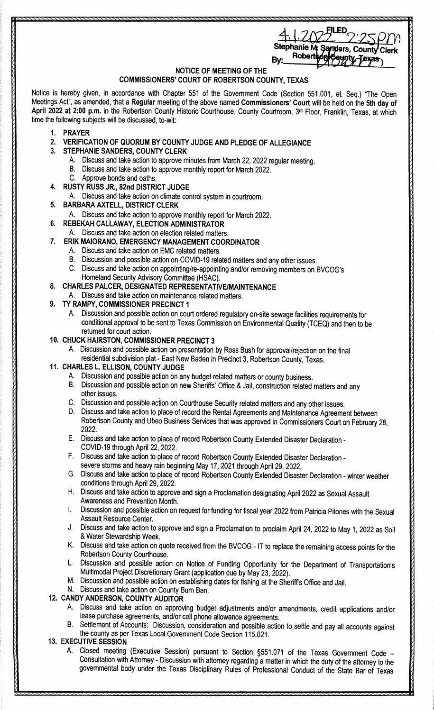| 2.258m<br>4.1.2022                 |  |
|------------------------------------|--|
| Stephanie M. Sanders, County Clerk |  |
| ySaynty-Jexas                      |  |

### **NOTICE OF MEETING OF THE COMMISSIONERS' COURT OF ROBERTSON COUNTY, TEXAS**

Notice is hereby given, in accordance with Chapter 551 of the Government Code (Section 551.001, et. Seq.) "The Open Meetings Act", as amended, that a **Regular** meeting of the above named **Commissioners' Court** will be held on the **5th day of April 2022 at 2:00 p.m.** in the Robertson County Historic Courthouse, County Courtroom, 3rd Floor, Franklin, Texas, at which time the following subjects will be discussed, to-wit:

- **1. PRAYER**
- **2. VERIFICATION OF QUORUM BY COUNTY JUDGE AND PLEDGE OF ALLEGIANCE**
- **3. STEPHANIE SANDERS, COUNTY CLERK** 
	- A. Discuss and take action to approve minutes from March 22, 2022 regular meeting.
	- B. Discuss and take action to approve monthly report for March 2022.
	- C. Approve bonds and oaths.
- **4. RUSTY RUSS JR., 82nd DISTRICT JUDGE** 
	- A. Discuss and take action on climate control system in courtroom.
- **5. BARBARA AXTELL, DISTRICT CLERK** 
	- A. Discuss and take action to approve monthly report for March 2022.
- **6. REBEKAH CALLAWAY, ELECTION ADMINISTRATOR**
- A. Discuss and take action on election related matters.
- **7. ERIK MAIORANO, EMERGENCY MANAGEMENT COORDINATOR** 
	- A. Discuss and take action on EMC related matters.
	- B. Discussion and possible action on COVID-19 related matters and any other issues.
	- C. Discuss and take action on appointing/re-appointing and/or removing members on BVCOG's Homeland Security Advisory Committee (HSAC).
- **8. CHARLES PALCER, DESIGNATED REPRESENTATIVE/MAINTENANCE** 
	- A. Discuss and take action on maintenance related matters.
- **9. TY RAMPY, COMMISSIONER PRECINCT 1** 
	- A. Discussion and possible action on court ordered regulatory on-site sewage facilities requirements for conditional approval to be sent to Texas Commission on Environmental Quality (TCEQ) and then to be returned for court action.
- **10. CHUCK HAIRSTON, COMMISSIONER PRECINCT 3** 
	- A. Discussion and possible action on presentation by Ross Bush for approval/rejection on the final residential subdivision plat- East New Baden in Precinct 3, Robertson County, Texas.
- **11. CHARLES L. ELLISON, COUNTY JUDGE** 
	- A. Discussion and possible action on any budget related matters or county business.
	- B. Discussion and possible action on new Sheriffs' Office & Jail, construction related matters and any other issues.
	- C. Discussion and possible action on Courthouse Security related matters and any other issues.
	- D. Discuss and take action to place of record the Rental Agreements and Maintenance Agreement between Robertson County and Ubeo Business Services that was approved in Commissioners Court on February 28, 2022.
	- E. Discuss and take action to place of record Robertson County Extended Disaster Declaration COVID-19 through April 22, 2022.
	- F. Discuss and take action to place of record Robertson County Extended Disaster Declaration severe storms and heavy rain beginning May 17, 2021 through April 29, 2022.
	- G. Discuss and take action to place of record Robertson County Extended Disaster Declaration winter weather conditions through April 29, 2022.
	- H. Discuss and take action to approve and sign a Proclamation designating April 2022 as Sexual Assault Awareness and Prevention Month.
	- I. Discussion and possible action on request for funding for fiscal year 2022 from Patricia Pitones with the Sexual Assault Resource Center.
	- J. Discuss and take action to approve and sign a Proclamation to proclaim April 24, 2022 to May 1, 2022 as Soil & Water Stewardship Week.
	- K. Discuss and take action on quote received from the BVCOG IT to replace the remaining access points for the Robertson County Courthouse.
	- Discussion and possible action on Notice of Funding Opportunity for the Department of Transportation's Multimodal Project Discretionary Grant (application due by May 23, 2022).
	- M. Discussion and possible action on establishing dates for fishing at the Sheriffs Office and Jail.
	- N. Discuss and take action on County Burn Ban.

## **12. CANDY ANDERSON, COUNTY AUDITOR**

- A. Discuss and take action on approving budget adjustments and/or amendments, credit applications and/or lease purchase agreements, and/or cell phone allowance agreements.
- Settlement of Accounts: Discussion, consideration and possible action to settle and pay all accounts against the county as per Texas Local Government Code Section 115.021.

# **13. EXECUTIVE SESSION**

A. Closed meeting (Executive Session) pursuant to Section §551.071 of the Texas Government Code - Consultation with Attorney - Discussion with attorney regarding a matter in which the duty of the attorney to the governmental body under the Texas Disciplinary Rules of Professional Conduct of the State Bar of Texas